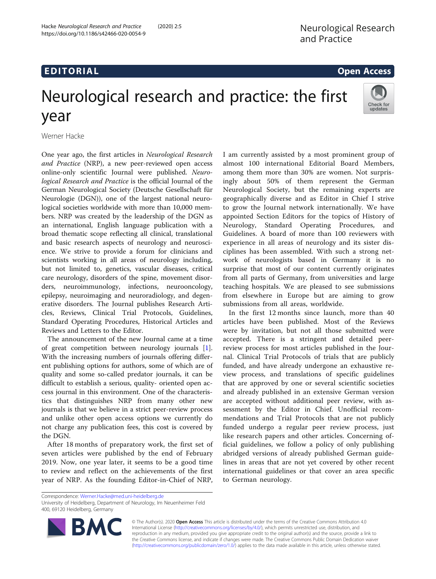# Neurological research and practice: the first year



Werner Hacke

One year ago, the first articles in Neurological Research and Practice (NRP), a new peer-reviewed open access online-only scientific Journal were published. Neurological Research and Practice is the official Journal of the German Neurological Society (Deutsche Gesellschaft für Neurologie (DGN)), one of the largest national neurological societies worldwide with more than 10,000 members. NRP was created by the leadership of the DGN as an international, English language publication with a broad thematic scope reflecting all clinical, translational and basic research aspects of neurology and neuroscience. We strive to provide a forum for clinicians and scientists working in all areas of neurology including, but not limited to, genetics, vascular diseases, critical care neurology, disorders of the spine, movement disorders, neuroimmunology, infections, neurooncology, epilepsy, neuroimaging and neuroradiology, and degenerative disorders. The Journal publishes Research Articles, Reviews, Clinical Trial Protocols, Guidelines, Standard Operating Procedures, Historical Articles and Reviews and Letters to the Editor.

The announcement of the new Journal came at a time of great competition between neurology journals [\[1](#page-2-0)]. With the increasing numbers of journals offering different publishing options for authors, some of which are of quality and some so-called predator journals, it can be difficult to establish a serious, quality- oriented open access journal in this environment. One of the characteristics that distinguishes NRP from many other new journals is that we believe in a strict peer-review process and unlike other open access options we currently do not charge any publication fees, this cost is covered by the DGN.

After 18 months of preparatory work, the first set of seven articles were published by the end of February 2019. Now, one year later, it seems to be a good time to review and reflect on the achievements of the first year of NRP. As the founding Editor-in-Chief of NRP,

I am currently assisted by a most prominent group of almost 100 international Editorial Board Members, among them more than 30% are women. Not surprisingly about 50% of them represent the German Neurological Society, but the remaining experts are geographically diverse and as Editor in Chief I strive to grow the Journal network internationally. We have appointed Section Editors for the topics of History of Neurology, Standard Operating Procedures, and Guidelines. A board of more than 100 reviewers with experience in all areas of neurology and its sister disciplines has been assembled. With such a strong network of neurologists based in Germany it is no surprise that most of our content currently originates from all parts of Germany, from universities and large teaching hospitals. We are pleased to see submissions from elsewhere in Europe but are aiming to grow submissions from all areas, worldwide.

In the first 12 months since launch, more than 40 articles have been published. Most of the Reviews were by invitation, but not all those submitted were accepted. There is a stringent and detailed peerreview process for most articles published in the Journal. Clinical Trial Protocols of trials that are publicly funded, and have already undergone an exhaustive review process, and translations of specific guidelines that are approved by one or several scientific societies and already published in an extensive German version are accepted without additional peer review, with assessment by the Editor in Chief. Unofficial recommendations and Trial Protocols that are not publicly funded undergo a regular peer review process, just like research papers and other articles. Concerning official guidelines, we follow a policy of only publishing abridged versions of already published German guidelines in areas that are not yet covered by other recent international guidelines or that cover an area specific to German neurology.

University of Heidelberg, Department of Neurology, Im Neuenheimer Feld 400, 69120 Heidelberg, Germany



© The Author(s). 2020 Open Access This article is distributed under the terms of the Creative Commons Attribution 4.0 International License [\(http://creativecommons.org/licenses/by/4.0/](http://creativecommons.org/licenses/by/4.0/)), which permits unrestricted use, distribution, and reproduction in any medium, provided you give appropriate credit to the original author(s) and the source, provide a link to the Creative Commons license, and indicate if changes were made. The Creative Commons Public Domain Dedication waiver [\(http://creativecommons.org/publicdomain/zero/1.0/](http://creativecommons.org/publicdomain/zero/1.0/)) applies to the data made available in this article, unless otherwise stated.

Correspondence: [Werner.Hacke@med.uni-heidelberg.de](mailto:Werner.Hacke@med.uni-heidelberg.de)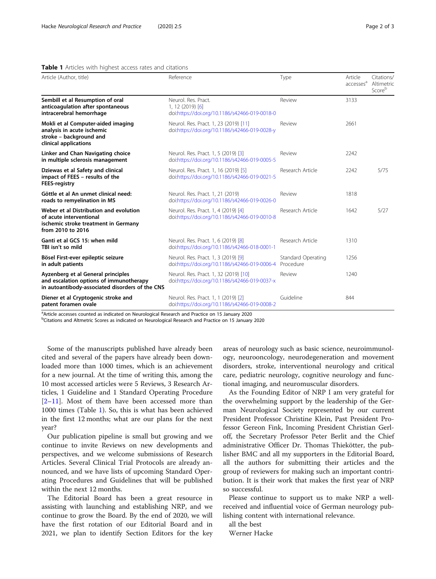# Table 1 Articles with highest access rates and citations

| Article (Author, title)                                                                                                          | Reference                                                                                  | Type                                   | Article<br>accesses <sup>a</sup> | Citations/<br>Altimetric<br>Scoreb |
|----------------------------------------------------------------------------------------------------------------------------------|--------------------------------------------------------------------------------------------|----------------------------------------|----------------------------------|------------------------------------|
| Sembill et al Resumption of oral<br>anticoagulation after spontaneous<br>intracerebral hemorrhage                                | Neurol, Res. Pract.<br>$1, 12$ (2019) [6]<br>doi:https://doi.org/10.1186/s42466-019-0018-0 | Review                                 | 3133                             |                                    |
| Mokli et al Computer-aided imaging<br>analysis in acute ischemic<br>stroke - background and<br>clinical applications             | Neurol. Res. Pract. 1, 23 (2019) [11]<br>doi:https://doi.org/10.1186/s42466-019-0028-y     | Review                                 | 2661                             |                                    |
| Linker and Chan Navigating choice<br>in multiple sclerosis management                                                            | Neurol. Res. Pract. 1, 5 (2019) [3]<br>doi:https://doi.org/10.1186/s42466-019-0005-5       | Review                                 | 2242                             |                                    |
| Dziewas et al Safety and clinical<br>impact of FEES - results of the<br><b>FEES-registry</b>                                     | Neurol. Res. Pract. 1, 16 (2019) [5]<br>doi:https://doi.org/10.1186/s42466-019-0021-5      | Research Article                       | 2242                             | 5/75                               |
| Göttle et al An unmet clinical need:<br>roads to remyelination in MS                                                             | Neurol. Res. Pract. 1, 21 (2019)<br>doi:https://doi.org/10.1186/s42466-019-0026-0          | Review                                 | 1818                             |                                    |
| Weber et al Distribution and evolution<br>of acute interventional<br>ischemic stroke treatment in Germany<br>from 2010 to 2016   | Neurol. Res. Pract. 1, 4 (2019) [4]<br>doi:https://doi.org/10.1186/s42466-019-0010-8       | Research Article                       | 1642                             | 5/27                               |
| Ganti et al GCS 15: when mild<br>TBI isn't so mild                                                                               | Neurol. Res. Pract. 1, 6 (2019) [8]<br>doi:https://doi.org/10.1186/s42466-018-0001-1       | Research Article                       | 1310                             |                                    |
| Bösel First-ever epileptic seizure<br>in adult patients                                                                          | Neurol. Res. Pract. 1, 3 (2019) [9]<br>doi:https://doi.org/10.1186/s42466-019-0006-4       | <b>Standard Operating</b><br>Procedure | 1256                             |                                    |
| Ayzenberg et al General principles<br>and escalation options of immunotherapy<br>in autoantibody-associated disorders of the CNS | Neurol. Res. Pract. 1, 32 (2019) [10]<br>doi:https://doi.org/10.1186/s42466-019-0037-x     | Review                                 | 1240                             |                                    |
| Diener et al Cryptogenic stroke and<br>patent foramen ovale                                                                      | Neurol. Res. Pract. 1, 1 (2019) [2]<br>doi:https://doi.org/10.1186/s42466-019-0008-2       | Guideline                              | 844                              |                                    |

<sup>a</sup>Article accesses counted as indicated on Neurological Research and Practice on 15 January 2020

<sup>b</sup>Citations and Altmetric Scores as indicated on Neurological Research and Practice on 15 January 2020

Some of the manuscripts published have already been cited and several of the papers have already been downloaded more than 1000 times, which is an achievement for a new journal. At the time of writing this, among the 10 most accessed articles were 5 Reviews, 3 Research Articles, 1 Guideline and 1 Standard Operating Procedure  $[2-11]$  $[2-11]$  $[2-11]$  $[2-11]$ . Most of them have been accessed more than 1000 times (Table 1). So, this is what has been achieved in the first 12 months; what are our plans for the next year?

Our publication pipeline is small but growing and we continue to invite Reviews on new developments and perspectives, and we welcome submissions of Research Articles. Several Clinical Trial Protocols are already announced, and we have lists of upcoming Standard Operating Procedures and Guidelines that will be published within the next 12 months.

The Editorial Board has been a great resource in assisting with launching and establishing NRP, and we continue to grow the Board. By the end of 2020, we will have the first rotation of our Editorial Board and in 2021, we plan to identify Section Editors for the key areas of neurology such as basic science, neuroimmunology, neurooncology, neurodegeneration and movement disorders, stroke, interventional neurology and critical care, pediatric neurology, cognitive neurology and functional imaging, and neuromuscular disorders.

As the Founding Editor of NRP I am very grateful for the overwhelming support by the leadership of the German Neurological Society represented by our current President Professor Christine Klein, Past President Professor Gereon Fink, Incoming President Christian Gerloff, the Secretary Professor Peter Berlit and the Chief administrative Officer Dr. Thomas Thiekötter, the publisher BMC and all my supporters in the Editorial Board, all the authors for submitting their articles and the group of reviewers for making such an important contribution. It is their work that makes the first year of NRP so successful.

Please continue to support us to make NRP a wellreceived and influential voice of German neurology publishing content with international relevance.

all the best

Werner Hacke